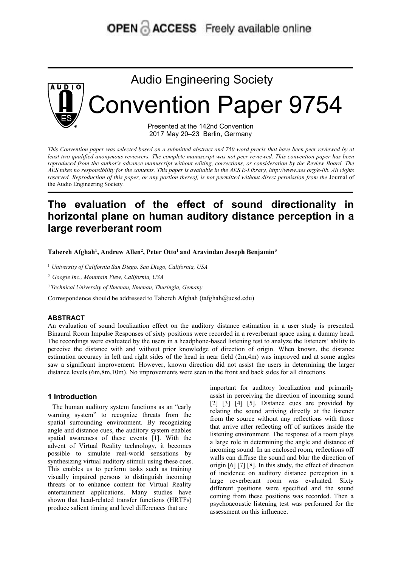# **OPEN & ACCESS** Freely available online



This Convention paper was selected based on a submitted abstract and 750-word precis that have been peer reviewed by at least two qualified anonymous reviewers. The complete manuscript was not peer reviewed. This convention paper has been reproduced from the author's advance manuscript without editing, corrections, or consideration by the Review Board. The AES takes no responsibility for the contents. This paper is available in the AES E-Library, http://www.aes.org/e-lib. All rights reserved. Reproduction of this paper, or any portion thereof, is not permitted without direct permission from the Journal of the Audio Engineering Society*.*

## **The evaluation of the effect of sound directionality in horizontal plane on human auditory distance perception in a large reverberant room**

**Tahereh Afghah<sup>1</sup> , Andrew Allen<sup>2</sup> , Peter Otto<sup>1</sup> and Aravindan Joseph Benjamin<sup>3</sup>**

<sup>1</sup> *University of California San Diego, San Diego, California, USA*

*<sup>2</sup> Google Inc., Mountain View, California, USA*

*<sup>3</sup> Technical University of Ilmenau, Ilmenau, Thuringia, Gemany*

Correspondence should be addressed to Tahereh Afghah (tafghah@ucsd.edu)

#### **ABSTRACT**

An evaluation of sound localization effect on the auditory distance estimation in a user study is presented. Binaural Room Impulse Responses of sixty positions were recorded in a reverberant space using a dummy head. The recordings were evaluated by the users in a headphone-based listening test to analyze the listeners' ability to perceive the distance with and without prior knowledge of direction of origin. When known, the distance estimation accuracy in left and right sides of the head in near field (2m,4m) was improved and at some angles saw a significant improvement. However, known direction did not assist the users in determining the larger distance levels (6m,8m,10m). No improvements were seen in the front and back sides for all directions. Correspondence should be addressed to Tahereh A:<br> **ABSTRACT**<br>
An evaluation of sound localization effect on the Binaural Room Impulse Responses of sixty positi<br>
The recordings were evaluated by the users in a h<br>
percive th **ESTRACT**<br> **ESTRACT**<br> **ENERGY ENTERN ENDISE ENDISE EXECUTE CONTIGENT CONTIGENT CONTIGENT CONTIGENT AUTOMOTE SIMPLE CONTINUES WE THE<br>
<b>ENERGY EVERGY EVERGY AUTOMOTE CONTINUES AS AN EXECUTE CONTINUES TO THE AUTOMOTE CONTINUE ABSTRACT**<br>
An evaluation of sound localization effect on the auditory distance estimation in a<br>
Binaural Room Impulse Responses of sixty positions were recorded in a reverberant sp<br>
The recordings were evaluated by the u An evaluation of sound localization effect on the auditory distance estimati<br>
Binaural Room Impulse Responses of sixty positions were recorded in a reverb<br>
The recordings were evaluated by the users in a headphone-based l Binaural Room Impulse Responses of sixty positions were recorded in a reverberance The recordings were evaluated by the users in a headphone-based listening test to a perceive the distance with and without prior knowledge ghah@ucsd.edu)<br>ghah@ucsd.edu)<br>geoderalization in a user study is presented.<br>Freedorded in a reverberant space using a dummy head.<br>based listening test to analyze the listeners' ability to<br>of direction of origin. When known ghah@ucsd.edu)<br>
yy distance estimation in a user study is presented.<br>
recorded in a reverberant space using a dummy head.<br>
based listening test to analyze the listeners' ability to<br>
of direction of origin. When known, the ry distance estimation in a user study is presented.<br>
recorded in a reverberant space using a dummy head.<br>
based listening test to analyze the listeners' ability to<br>
of direction of origin. When known, the distance<br>
ear f

The recordings were evaluated by the users in a headphone-based listening test to analy<br>perceive the distance with and without prior knowledge of direction of origin. Whe<br>stimation accuracy in left and right sides of the perceive the distance with and without prior knowledge of direction of origin<br>estimation accuracy in left and right sides of the head in near field (2m,4m) was<br>saw a significant improvement. However, known direction did no estimation accuracy in left and right sides of the head in near field  $(2m,4m)$  was impross<br>
saw a significant improvement. However, known direction did not assist the users in<br>
distance levels  $(6m,8m,10m)$ . No improveme saw a significant improvement. However, known direction did not assist the users<br>distance levels (6m,8m,10m). No improvements were seen in the front and back sides f<br>important for auditory loss in the form and start in the distance levels (6m,8m,10m). No improvements were seen in the front and back sid<br>
important for auditory<br> **1 Introduction**<br>
The human auditory system functions as an "early<br>  $[2]$   $[3]$   $[4]$   $[5]$ . Diste<br>
warning system" **1 Introduction**<br>
important for auditor<br>
warning system" to recognize threats from the<br>
system functions as an "early<br>
varning system" to recognize threats from the summer relating the sound an<br>
spatial surrounding enviro **1 Introduction**<br> **1 Introduction**<br>
The human auditory system functions as an "early  $[2]$  [3] [4] [5]. Distant<br>
warning system" to recognize threats from the relating the sound arrive<br>
spatial surrounding environment. By **1 Introduction**<br>
The human auditory system functions as an "early [2] [3] [4] [5]. Distance<br>
warning system" to recognize threats from the relating the sound arriving<br>
spatial surrounding environment. By recognizing from The human auditory system functions as an "early<br>
The human auditory system functions as an "early<br>
show arming system" to recognize threats from the source with<br>
shown the source with<br>
shown angle and distance cues, the a The numar auditory system inctions as an early experiment of the sound arriving system incomize threats from the source without a spatial surrounding environment. By recognizing that arrive after reflecting the spatial awa

ry distance estimation in a user study is presented.<br>recorded in a reverberant space using a dummy head.<br>based listening test to analyze the listeners' ability to<br>of direction of origin. When known, the distance<br>ear field ry distance estimation in a user study is presented.<br>
recorded in a reverberant space using a dummy head.<br>
based listening test to analyze the listeners' ability to<br>
of direction of origin. When known, the distance<br>
ear fi recorded in a reverberant space using a dummy head.<br>
recorded in a reverberant space using a dummy head.<br>
based listening test to analyze the listeners' ability to<br>
of direction of origin. When known, the distance<br>
ear fie recorded in a reverberant space using a dummy nead.<br>
based listening test to analyze the listeners' ability to<br>
of direction of origin. When known, the distance<br>
ear field (2m,4m) was improved and at some angles<br>
n did not based instening test to analyze the insteners ability to<br>of direction of origin. When known, the distance<br>ear field (2m,4m) was improved and at some angles<br>n did not assist the users in determining the larger<br>in did not a or direction of origin. When known, the distance<br>ear field  $(2m,4m)$  was improved and at some angles<br>n did not assist the users in determining the larger<br>n the front and back sides for all directions.<br>important for audito ear nela (2m,4m) was improved and at some angles<br>n did not assist the users in determining the larger<br>n the front and back sides for all directions.<br>important for auditory localization and primarily<br>assist in perceiving t n and not assist the users in determining the larger<br>in the front and back sides for all directions.<br>important for auditory localization and primarily<br>assist in perceiving the direction of incoming sound<br>[2] [3] [4] [5]. n the front and back states for all directions.<br>
important for auditory localization and primarily<br>
assist in perceiving the direction of incoming sound<br>
[2] [3] [4] [5]. Distance cues are provided by<br>
relating the sound a important for auditory localization and primarily<br>assist in perceiving the direction of incoming sound<br>[2] [3] [4] [5]. Distance cues are provided by<br>relating the sound arriving directly at the listener<br>from the source wi mportant for auditory localization and primarily<br>assist in perceiving the direction of incoming sound<br>[2] [3] [4] [5]. Distance cues are provided by<br>relating the sound arriving directly at the listener<br>from the sound arri assist in perceiving the direction of incoming solind [2] [3] [4] [5]. Distance cues are provided by relating the sound arriving directly at the listener from the source without any reflections with those that arrive afte [2] [3] [4] [5]. Distance cues are provided by<br>relating the sound arriving directly at the listener<br>from the source without any reflections with those<br>that arrive after reflecting of for surfaces inside the<br>listening envi relating the sound arriving directly at the listener<br>from the source without any reflections with those<br>that arrive after reflecting off of surfaces inside the<br>listening environment. The response of a room plays<br>a large ro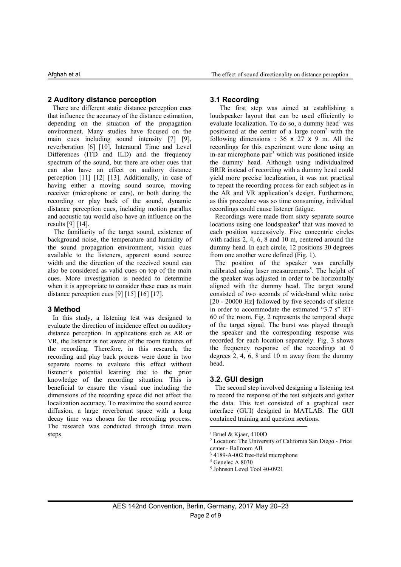#### **2 Auditory distance perception**

There are different static distance perception cues that influence the accuracy of the distance estimation, depending on the situation of the propagation environment. Many studies have focused on the main cues including sound intensity [7] [9], reverberation [6] [10], Interaural Time and Level Differences (ITD and ILD) and the frequency spectrum of the sound, but there are other cues that can also have an effect on auditory distance perception [11] [12] [13]. Additionally, in case of having either a moving sound source, moving receiver (microphone or ears), or both during the recording or play back of the sound, dynamic distance perception cues, including motion parallax and acoustic tau would also have an influence on the results [9] [14].

The familiarity of the target sound, existence of background noise, the temperature and humidity of the sound propagation environment, vision cues available to the listeners, apparent sound source width and the direction of the received sound can also be considered as valid cues on top of the main cues. More investigation is needed to determine when it is appropriate to consider these cues as main distance perception cues [9] [15] [16] [17].

#### **3 Method**

evaluate the direction of incidence effect on auditory distance perception. In applications such as AR or VR, the listener is not aware of the room features of the recording. Therefore, in this research, the recording and play back process were done in two separate rooms to evaluate this effect without listener's potential learning due to the prior knowledge of the recording situation. This is beneficial to ensure the visual cue including the dimensions of the recording space did not affect the localization accuracy. To maximize the sound source diffusion, a large reverberant space with a long decay time was chosen for the recording process. The research was conducted through three main steps.

### **3.1 Recording**

The first step was aimed at establishing a loudspeaker layout that can be used efficiently to evaluate localization. To do so, a dummy head [1](#page-1-0) was positioned at the center of a large room[2](#page-1-1) with the following dimensions : 36 x 27 x 9 m. All the recordings for this experiment were done using an in-ear microphone pair [3](#page-1-2) which was positioned inside the dummy head. Although using individualized BRIR instead of recording with a dummy head could yield more precise localization, it was not practical to repeat the recording process for each subject as in the AR and VR application's design. Furthermore, as this procedure was so time consuming, individual recordings could cause listener fatigue.

Recordings were made from sixty separate source locations using one loudspeaker<sup>[4](#page-1-3)</sup> that was moved to each position successively. Five concentric circles with radius 2, 4, 6, 8 and 10 m, centered around the dummy head. In each circle, 12 positions 30 degrees from one another were defined (Fig. 1).

In this study, a listening test was designed to 60 of the room. Fig. 2 represents the temporal shape The position of the speaker was carefully calibrated using laser measurements [5](#page-1-4) . The height of the speaker was adjusted in order to be horizontally aligned with the dummy head. The target sound consisted of two seconds of wide-band white noise [20 - 20000 Hz] followed by five seconds of silence in order to accommodate the estimated "3.7 s" RTof the target signal. The burst was played through the speaker and the corresponding response was recorded for each location separately. Fig. 3 shows the frequency response of the recordings at 0 degrees  $2, 4, 6, 8$  and  $10$  m away from the dummy head.

### **3.2. GUI design**

The second step involved designing a listening test to record the response of the test subjects and gather the data. This test consisted of a graphical user interface (GUI) designed in MATLAB. The GUI contained training and question sections.

<span id="page-1-0"></span><sup>1</sup> Bruel & Kjaer, 4100D

<span id="page-1-1"></span><sup>2</sup> Location: The University of California San Diego - Price center - Ballroom AB

<span id="page-1-2"></span><sup>&</sup>lt;sup>3</sup> 4189-A-002 free-field microphone

<span id="page-1-3"></span><sup>4</sup> Genelec A 8030

<span id="page-1-4"></span><sup>5</sup> Johnson Level Tool 40-0921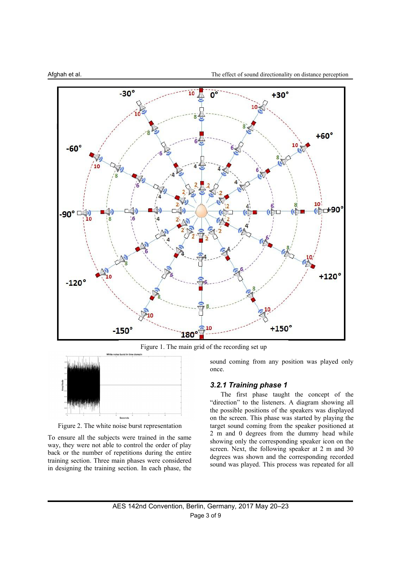

Figure 1. The main grid of the recording set up



Figure 2. The white noise burst representation

To ensure all the subjects were trained in the same way, they were not able to control the order of play back or the number of repetitions during the entire training section. Three main phases were considered in designing the training section. In each phase, the sound coming from any position was played only once.

### *3.2.1 Training phase 1*

The first phase taught the concept of the "direction" to the listeners. A diagram showing all the possible positions of the speakers was displayed on the screen.This phase was started by playing the target sound coming from the speaker positioned at 2 m and 0 degrees from the dummy head while showing only the corresponding speaker icon on the screen. Next, the following speaker at 2 m and 30 degrees was shown and the corresponding recorded sound was played. This process was repeated for all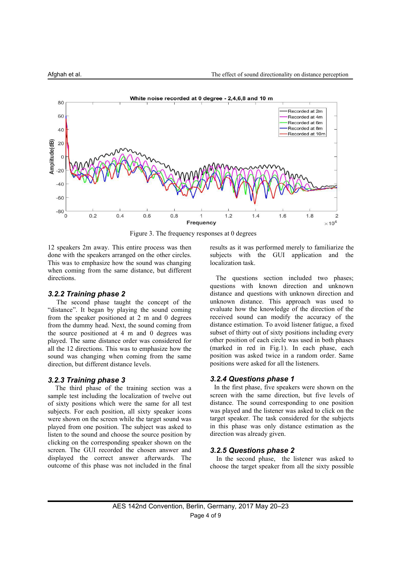

Figure 3. The frequency responses at 0 degrees

12 speakers 2m away. This entire process was then done with the speakers arranged on the other circles. This was to emphasize how the sound was changing when coming from the same distance, but different directions.

#### *3.2.2 Training phase 2*

The second phase taught the concept of the "distance". It began by playing the sound coming from the speaker positioned at 2 m and 0 degrees from the dummy head. Next, the sound coming from the source positioned at 4 m and 0 degrees was played. The same distance order was considered for all the 12 directions. This was to emphasize how the sound was changing when coming from the same direction, but different distance levels.

#### *3.2.3 Training phase 3*

The third phase of the training section was a sample test including the localization of twelve out of sixty positions which were the same for all test subjects. For each position, all sixty speaker icons were shown on the screen while the target sound was played from one position. The subject was asked to listen to the sound and choose the source position by clicking on the corresponding speaker shown on the screen. The GUI recorded the chosen answer and displayed the correct answer afterwards. The outcome of this phase was not included in the final results as itwas performed merely to familiarize the subjects with the GUI application and the localization task.

The questions section included two phases: questions with known direction and unknown distance and questions with unknown direction and unknown distance. This approach was used to evaluate how the knowledge of the direction of the received sound can modify the accuracy of the distance estimation. To avoid listener fatigue, a fixed subset of thirty out of sixty positions including every other position of each circle was used in both phases (marked in red in Fig.1). In each phase, each position was asked twice in a random order. Same positions were asked for all the listeners.

#### *3.2.4 Questions phase 1*

In the first phase, five speakers were shown on the screen with the same direction, but five levels of distance. The sound corresponding to one position was played and the listener was asked to click on the target speaker. The task considered for the subjects in this phase was only distance estimation as the direction was already given.

#### *3.2.5 Questions phase 2*

In the second phase, the listener was asked to choose the target speaker from all the sixty possible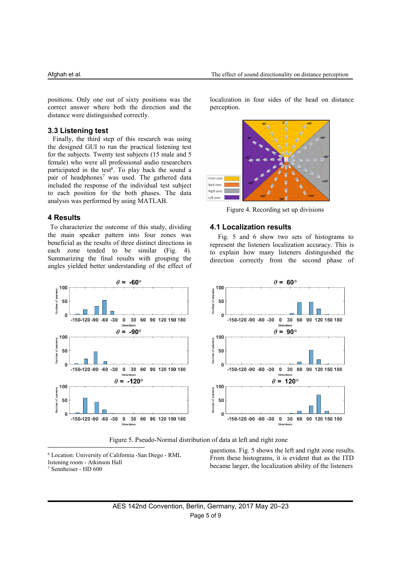positions. Only one out of sixty positions was the correct answer where both the direction and the distance were distinguished correctly.

#### **3.3 Listening test**

Finally, the third step of this research was using the designed GUI to run the practical listening test for the subjects. Twenty test subjects (15 male and 5 female) who were all professional audio researchers participated in the test<sup>[6](#page-4-0)</sup>. To play back the sound a pair of headphones<sup>[7](#page-4-1)</sup> was used. The gathered data included the response of the individual test subject to each position for the both phases. The data analysis was performed by using MATLAB.

#### **4 Results**

To characterize the outcome of this study, dividing the main speaker pattern into four zones was beneficial as the results of three distinct directions in each zone tended to be similar (Fig. 4). Summarizing the final results with grouping the angles yielded better understanding of the effect of

localization in four sides of the head on distance perception.



Figure 4. Recording set up divisions

#### **4.1 Localization results**

Fig. 5 and 6 show two sets of histograms to represent the listeners localization accuracy. This is to explain how many listeners distinguished the direction correctly from the second phase of



Figure 5. Pseudo-Normal distribution of data at left and right zone

<span id="page-4-1"></span><span id="page-4-0"></span><sup>6</sup> Location: University of California -San Diego - RML listening room - Atkinson Hall <sup>7</sup> Sennheiser - HD 600

questions. Fig. 5 shows the left and right zone results. From these histograms, it is evident that as the ITD became larger, the localization ability of the listeners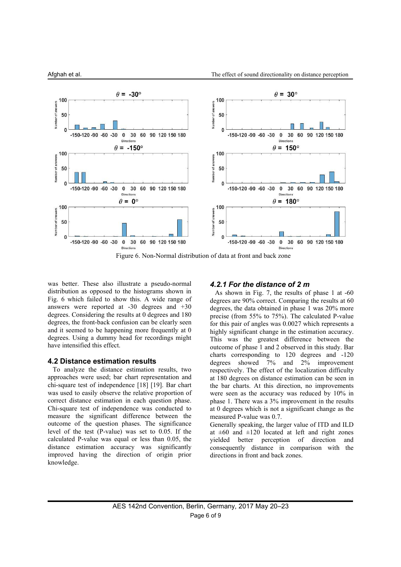

Figure 6. Non-Normal distribution of data at front and back zone

was better. These also illustrate a pseudo-normal distribution as opposed to the histograms shown in Fig. 6 which failed to show this. A wide range of answers were reported at -30 degrees and +30 degrees. Considering the results at 0 degrees and 180 degrees, the front-back confusion can be clearly seen and it seemed to be happening more frequently at 0 degrees. Using a dummy head for recordings might have intensified this effect.

#### **4.2 Distance estimation results**

To analyze the distance estimation results, two approaches were used; bar chart representation and chi-square test of independence [18] [19]. Bar chart was used to easily observe the relative proportion of correct distance estimation in each question phase. Chi-square test of independence was conducted to measure the significant difference between the outcome of the question phases. The significance level of the test (P-value) was set to 0.05. If the calculated P-value was equal or less than 0.05, the distance estimation accuracy was significantly improved having the direction of origin prior knowledge.

#### *4.2.1 For the distance of 2 m*

As shown in Fig. 7, the results of phase 1 at -60 degrees are 90% correct. Comparing the results at 60 degrees, the data obtained in phase 1 was 20% more precise (from 55% to 75%). The calculated P-value for this pair of angles was 0.0027 which represents a highly significant change in the estimation accuracy. This was the greatest difference between the outcome of phase 1 and 2 observed in this study.Bar charts corresponding to 120 degrees and -120 degrees showed 7% and 2% improvement respectively. The effect of the localization difficulty at 180 degrees on distance estimation can be seen in the bar charts. At this direction, no improvements were seen as the accuracy was reduced by 10% in phase 1. There was a 3% improvement in the results at 0 degrees which is not a significant change as the measured P-value was 0.7.

Generally speaking, the larger value of ITD and ILD at  $\pm 60$  and  $\pm 120$  located at left and right zones yielded better perception of direction and consequently distance in comparison with the directions in front and back zones.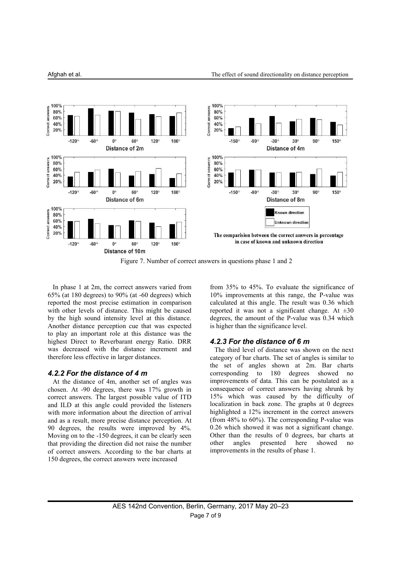

Figure 7. Number of correct answers in questions phase 1 and 2

In phase 1 at 2m, the correct answers varied from 65% (at 180 degrees) to 90% (at -60 degrees) which reported the most precise estimation in comparison with other levels of distance. This might be caused by the high sound intensity level at this distance. Another distance perception cue that was expected to play an important role at this distance was the highest Direct to Reverbarant energy Ratio. DRR was decreased with the distance increment and therefore less effective in larger distances.

#### *4.2.2 For the distance of 4 m*

At the distance of 4m, another set of angles was chosen. At -90 degrees, there was 17% growth in correct answers. The largest possible value of ITD and ILD at this angle could provided the listeners with more information about the direction of arrival and as a result, more precise distance perception. At 90 degrees, the results were improved by 4%. Moving on to the -150 degrees, it can be clearly seen better than the that providing the direction did not raise the number other angles that providing the direction did not raise the number of correct answers. According to the bar charts at 150 degrees, the correct answers were increased

from 35% to 45%. To evaluate the significance of 10% improvements at this range, the P-value was calculated at this angle. The result was 0.36 which reported it was not a significant change. At  $\pm 30$ degrees, the amount of the P-value was 0.34 which is higher than the significance level.

#### *4.2.3 For the distance of 6 m*

The third level of distance was shown on the next category of bar charts. The set of angles is similar to the set of angles shown at 2m. Bar charts corresponding to 180 degrees showed no improvements of data. This can be postulated as a consequence of correct answers having shrunk by 15% which was caused by the difficulty of localization in back zone. The graphs at 0 degrees highlighted a  $12\%$  increment in the correct answers (from 48% to 60%). The corresponding P-value was 0.26 which showed it was not a significant change. Other than the results of 0 degrees, bar charts at presented here showed no improvements in the results of phase 1.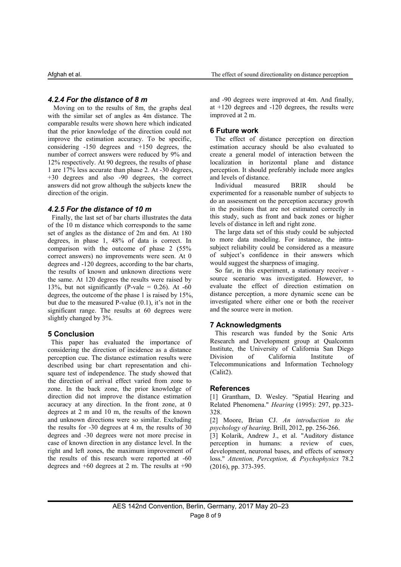### *4.2.4 For the distance of 8 m*

Moving on to the results of 8m, the graphs deal with the similar set of angles as 4m distance. The comparable results were shown here which indicated that the prior knowledge of the direction could not improve the estimation accuracy. To be specific, considering -150 degrees and +150 degrees, the number of correct answers were reduced by 9% and 12% respectively. At 90 degrees, the results of phase 1 are 17% less accurate than phase 2.At -30 degrees, +30 degrees and also -90 degrees, the correct answers did not grow although the subjects knew the Individual measured direction of the origin.

### *4.2.5 For the distance of 10 m*

Finally, the last setof bar charts illustrates the data of the 10 m distance which corresponds to the same set of angles as the distance of 2m and 6m. At 180 degrees, in phase 1, 48% of data is correct. In comparison with the outcome of phase 2 (55% correct answers) no improvements were seen. At 0 degrees and -120 degrees, according to the bar charts, the results of known and unknown directions were the same. At 120 degrees the results were raised by 13%, but not significantly (P-vale =  $0.26$ ). At -60 degrees, the outcome of the phase 1 is raised by 15%, but due to the measured P-value (0.1), it's not in the significant range. The results at 60 degrees were slightly changed by 3%.

### **5 Conclusion**

This paper has evaluated the importance of considering the direction of incidence as a distance<br>
network of the Unerception cue. The distance estimation results were Division of perception cue. The distance estimation results were described using bar chart representation and chi square test of independence. The study showed that the direction of arrival effect varied from zone to zone. In the back zone, the prior knowledge of direction did not improve the distance estimation accuracy at any direction. In the front zone, at 0 degrees at 2 m and 10 m, the results of the known and unknown directions were so similar. Excluding the results for -30 degrees at 4 m, the results of 30 degrees and -30 degrees were not more precise in case of known direction in any distance level. In the right and left zones, the maximum improvement of the results of this research were reported at -60 degrees and +60 degrees at 2 m. The results at +90

and -90 degrees were improved at 4m. And finally, at +120 degrees and -120 degrees, the results were improved at 2 m.

#### **6 Future work**

The effect of distance perception on direction estimation accuracy should be also evaluated to create a general model of interaction between the localization in horizontal plane and distance perception. It should preferably include more angles and levels of distance.

Individual measured BRIR should be experimented for a reasonable number of subjects to do an assessment on the perception accuracy growth in the positions that are not estimated correctly in this study, such as front and back zones or higher levels of distance in left and right zone.

The large data set of this study could be subjected to more data modeling. For instance, the intra subject reliability could be considered as a measure of subject's confidence in their answers which would suggest the sharpness of imaging.

So far, in this experiment, a stationary receiver source scenario was investigated. However, to evaluate the effect of direction estimation on distance perception, a more dynamic scene can be investigated where either one or both the receiver and the source were in motion.

### **7 Acknowledgments**

This research was funded by the Sonic Arts Research and Development group at Qualcomm Institute, the University of California San Diego California Institute of Telecommunications and Information Technology (Calit2).

#### **References**

[1] Grantham, D. Wesley. "Spatial Hearing and Related Phenomena." *Hearing* (1995): 297, pp.323- 328.

[2] Moore, Brian CJ. *An introduction to the psychology of hearing*. Brill, 2012, pp. 256-266.

[3] Kolarik, Andrew J., et al. "Auditory distance perception in humans: a review of cues, development, neuronal bases, and effects of sensory loss." *Attention, Perception, & Psychophysics* 78.2 (2016), pp. 373-395.